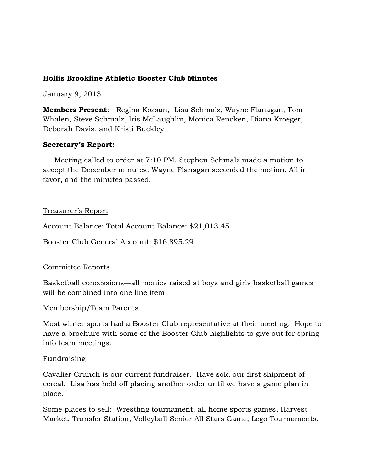### **Hollis Brookline Athletic Booster Club Minutes**

January 9, 2013

**Members Present**: Regina Kozsan, Lisa Schmalz, Wayne Flanagan, Tom Whalen, Steve Schmalz, Iris McLaughlin, Monica Rencken, Diana Kroeger, Deborah Davis, and Kristi Buckley

### **Secretary's Report:**

 Meeting called to order at 7:10 PM. Stephen Schmalz made a motion to accept the December minutes. Wayne Flanagan seconded the motion. All in favor, and the minutes passed.

#### Treasurer's Report

Account Balance: Total Account Balance: \$21,013.45

Booster Club General Account: \$16,895.29

#### Committee Reports

Basketball concessions—all monies raised at boys and girls basketball games will be combined into one line item

#### Membership/Team Parents

Most winter sports had a Booster Club representative at their meeting. Hope to have a brochure with some of the Booster Club highlights to give out for spring info team meetings.

#### Fundraising

Cavalier Crunch is our current fundraiser. Have sold our first shipment of cereal. Lisa has held off placing another order until we have a game plan in place.

Some places to sell: Wrestling tournament, all home sports games, Harvest Market, Transfer Station, Volleyball Senior All Stars Game, Lego Tournaments.